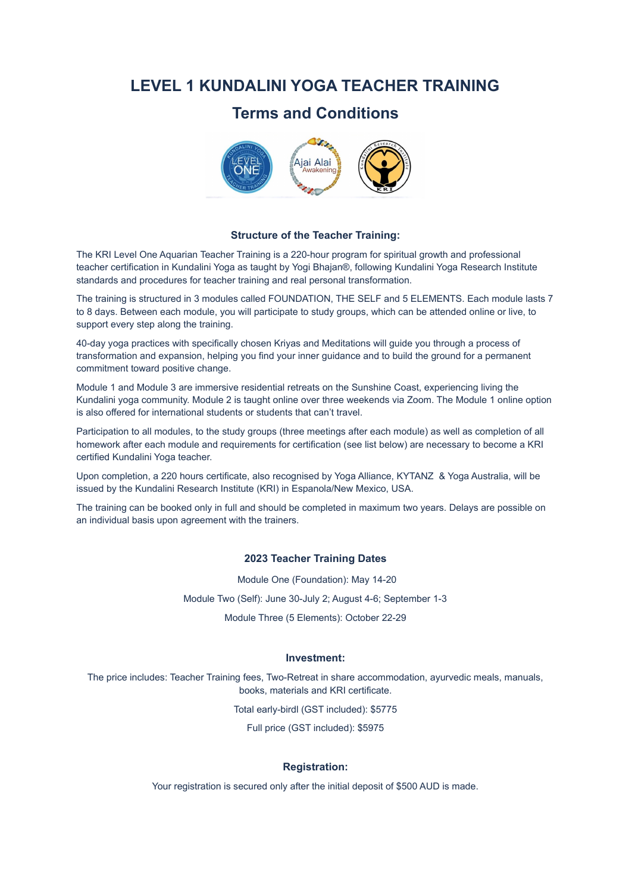# **LEVEL 1 KUNDALINI YOGA TEACHER TRAINING**

# **Terms and Conditions**



#### **Structure of the Teacher Training:**

The KRI Level One Aquarian Teacher Training is a 220-hour program for spiritual growth and professional teacher certification in Kundalini Yoga as taught by Yogi Bhajan®, following Kundalini Yoga Research Institute standards and procedures for teacher training and real personal transformation.

The training is structured in 3 modules called FOUNDATION, THE SELF and 5 ELEMENTS. Each module lasts 7 to 8 days. Between each module, you will participate to study groups, which can be attended online or live, to support every step along the training.

40-day yoga practices with specifically chosen Kriyas and Meditations will guide you through a process of transformation and expansion, helping you find your inner guidance and to build the ground for a permanent commitment toward positive change.

Module 1 and Module 3 are immersive residential retreats on the Sunshine Coast, experiencing living the Kundalini yoga community. Module 2 is taught online over three weekends via Zoom. The Module 1 online option is also offered for international students or students that can't travel.

Participation to all modules, to the study groups (three meetings after each module) as well as completion of all homework after each module and requirements for certification (see list below) are necessary to become a KRI certified Kundalini Yoga teacher.

Upon completion, a 220 hours certificate, also recognised by Yoga Alliance, KYTANZ & Yoga Australia, will be issued by the Kundalini Research Institute (KRI) in Espanola/New Mexico, USA.

The training can be booked only in full and should be completed in maximum two years. Delays are possible on an individual basis upon agreement with the trainers.

## **2023 Teacher Training Dates**

Module One (Foundation): May 14-20

Module Two (Self): June 30-July 2; August 4-6; September 1-3

Module Three (5 Elements): October 22-29

### **Investment:**

The price includes: Teacher Training fees, Two-Retreat in share accommodation, ayurvedic meals, manuals, books, materials and KRI certificate.

Total early-birdl (GST included): \$5775

Full price (GST included): \$5975

### **Registration:**

Your registration is secured only after the initial deposit of \$500 AUD is made.